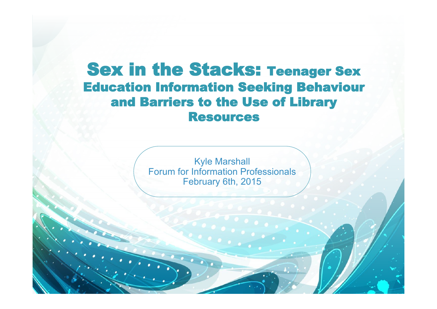# Sex in the Stacks: Teenager Sex Education Information Seeking Behaviour and Barriers to the Use of Library Resources

Kyle Marshall Forum for Information Professionals and the state of the state of the state of the state of the state of the state of the state of the state of the state of the state of the state of the state of the state of the state of February 6th, 2015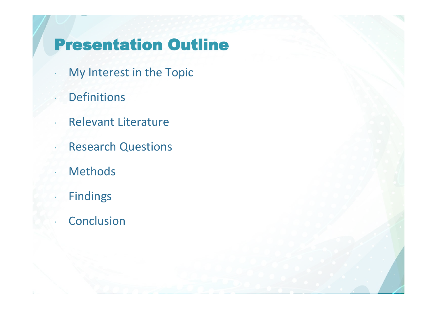## Presentation Outline

- My Interest in the Topic
	- Definitions
- Relevant Literature
- **Research Questions** 
	- **Methods**
	- Findings
	- Conclusion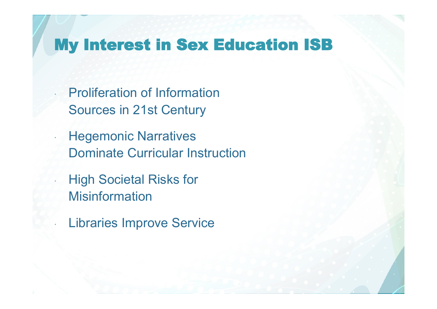## My Interest in Sex Education ISB

 Proliferation of Information Sources in 21st Century

**Hegemonic Narratives** Dominate Curricular Instruction

 High Societal Risks for **Misinformation** 

Libraries Improve Service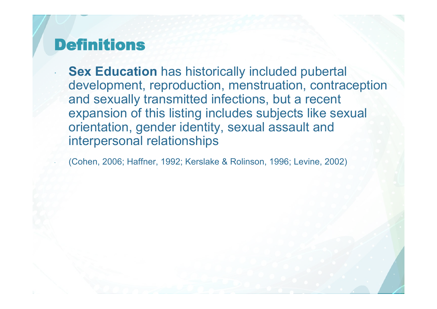## Definitions

 **Sex Education** has historically included pubertal development, reproduction, menstruation, contraception and sexually transmitted infections, but a recent expansion of this listing includes subjects like sexual orientation, gender identity, sexual assault and interpersonal relationships

(Cohen, 2006; Haffner, 1992; Kerslake & Rolinson, 1996; Levine, 2002)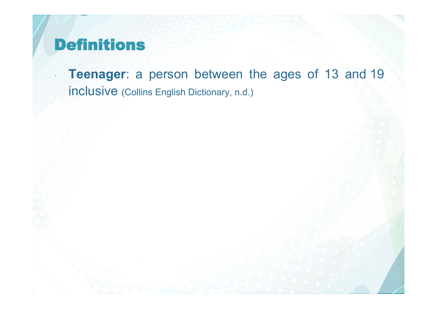## Definitions

 **Teenager**: a person between the ages of 13 and 19 inclusive (Collins English Dictionary, n.d.)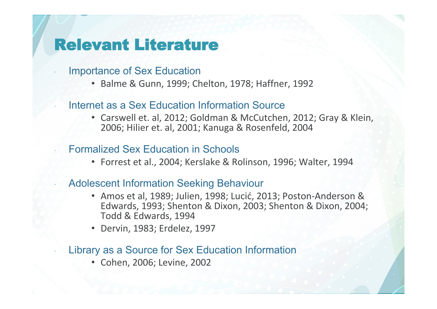## Relevant Literature

- Importance of Sex Education
	- Balme & Gunn, 1999; Chelton, 1978; Haffner, 1992

### Internet as a Sex Education Information Source

• Carswell et. al, 2012; Goldman & McCutchen, 2012; Gray & Klein, 2006; Hilier et. al, 2001; Kanuga & Rosenfeld, 2004

### Formalized Sex Education in Schools

• Forrest et al., 2004; Kerslake & Rolinson, 1996; Walter, 1994

### Adolescent Information Seeking Behaviour

- Amos et al, 1989; Julien, 1998; Lucić, 2013; Poston-Anderson & Edwards, 1993; Shenton & Dixon, 2003; Shenton & Dixon, 2004; Todd & Edwards, 1994
- Dervin, 1983; Erdelez, 1997

#### Library as a Source for Sex Education Information

• Cohen, 2006; Levine, 2002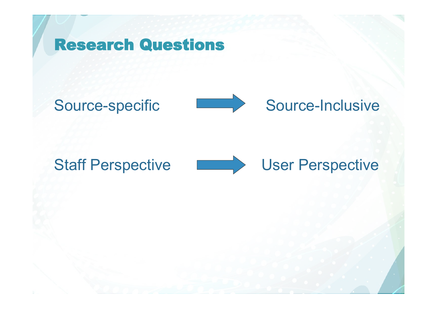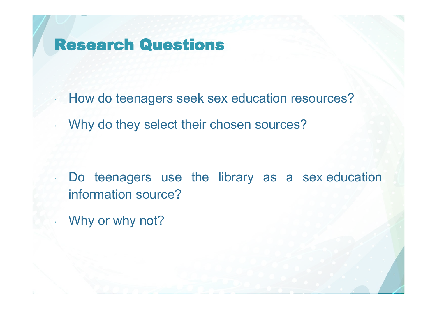## Research Questions

How do teenagers seek sex education resources?

Why do they select their chosen sources?

 Do teenagers use the library as a sex education information source?

Why or why not?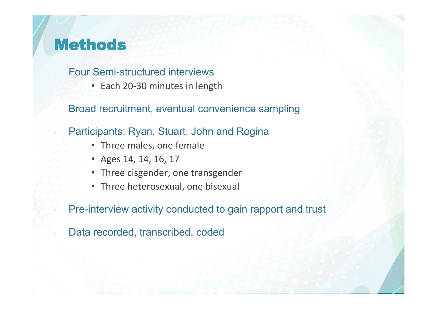## Methods

Four Semi-structured interviews

- Each 20-30 minutes in length
- Broad recruitment, eventual convenience sampling
- Participants: Ryan, Stuart, John and Regina
	- Three males, one female
	- Ages 14, 14, 16, 17
	- Three cisgender, one transgender
	- Three heterosexual, one bisexual

Pre-interview activity conducted to gain rapport and trust

Data recorded, transcribed, coded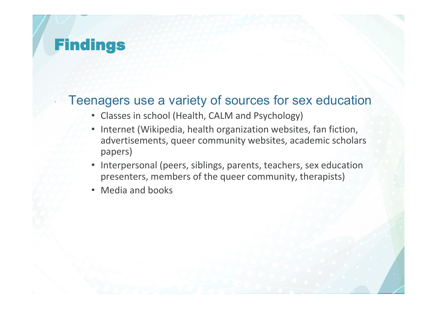### Teenagers use a variety of sources for sex education

- Classes in school (Health, CALM and Psychology)
- Internet (Wikipedia, health organization websites, fan fiction, advertisements, queer community websites, academic scholars papers)
- Interpersonal (peers, siblings, parents, teachers, sex education presenters, members of the queer community, therapists)
- Media and books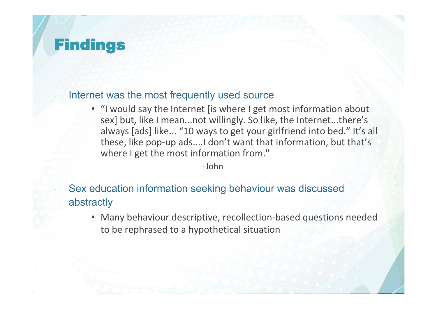#### Internet was the most frequently used source

• "I would say the Internet [is where I get most information about sex] but, like I mean...not willingly. So like, the Internet...there's always [ads] like... "10 ways to get your girlfriend into bed." It's all these, like pop-up ads....I don't want that information, but that's where I get the most information from."

-John

### Sex education information seeking behaviour was discussed abstractly

• Many behaviour descriptive, recollection-based questions needed to be rephrased to a hypothetical situation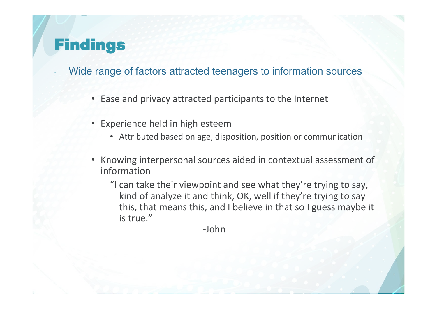- Wide range of factors attracted teenagers to information sources
	- Ease and privacy attracted participants to the Internet
	- Experience held in high esteem
		- Attributed based on age, disposition, position or communication
	- Knowing interpersonal sources aided in contextual assessment of information
		- "I can take their viewpoint and see what they're trying to say, kind of analyze it and think, OK, well if they're trying to say this, that means this, and I believe in that so I guess maybe it is true."

-John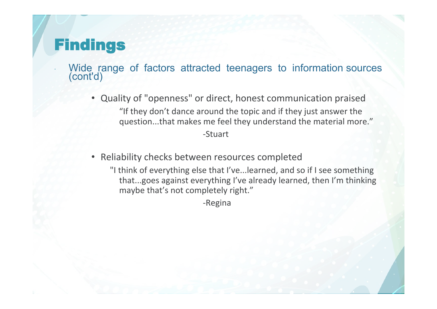- Wide range of factors attracted teenagers to information sources (cont'd)
	- Quality of "openness" or direct, honest communication praised "If they don't dance around the topic and if they just answer the question...that makes me feel they understand the material more."

-Stuart

- Reliability checks between resources completed
	- "I think of everything else that I've...learned, and so if I see something that...goes against everything I've already learned, then I'm thinking maybe that's not completely right."

-Regina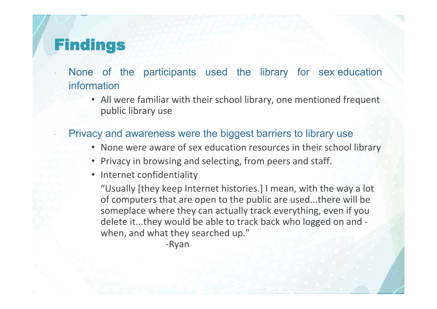- None of the participants used the library for sex education information
	- All were familiar with their school library, one mentioned frequent public library use

### Privacy and awareness were the biggest barriers to library use

- None were aware of sex education resources in their school library
- Privacy in browsing and selecting, from peers and staff.
- Internet confidentiality

"Usually [they keep Internet histories.] I mean, with the way a lot of computers that are open to the public are used...there will be someplace where they can actually track everything, even if you delete it...they would be able to track back who logged on and when, and what they searched up."

-Ryan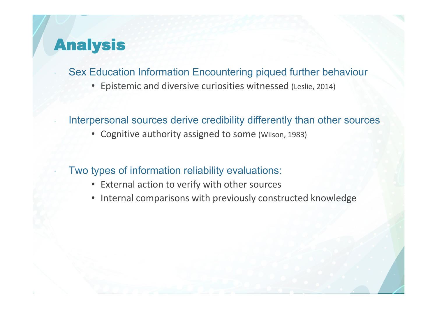## Analysis

- Sex Education Information Encountering piqued further behaviour
	- Epistemic and diversive curiosities witnessed (Leslie, 2014)
- Interpersonal sources derive credibility differently than other sources
	- Cognitive authority assigned to some (Wilson, 1983)
- Two types of information reliability evaluations:
	- External action to verify with other sources
	- Internal comparisons with previously constructed knowledge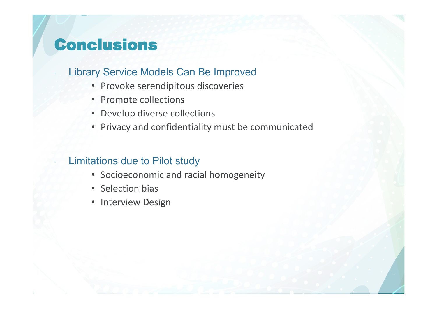## Conclusions

### Library Service Models Can Be Improved

- Provoke serendipitous discoveries
- Promote collections
- Develop diverse collections
- Privacy and confidentiality must be communicated

### Limitations due to Pilot study

- Socioeconomic and racial homogeneity
- Selection bias
- Interview Design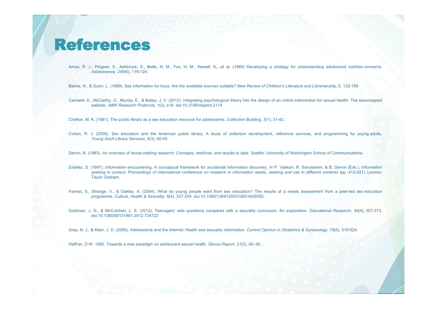### References

Amos, R. J., Pingree, S., Ashbrook, S., Betts, N. M., Fox, H. M., Newell, K....et al. (1989) Developing a strategy for understanding adolescent nutrition concerns. *Adolescence, 24*(90), 119-124.

Balme, H., & Gunn, L. (1999). Sex information for boys: Are the available sources suitable? *New Review of Children's Literature and Librarianship*, 5, 133-150.

 Carswell, K., McCarthy, O., Murray, E., & Bailey, J. V. (2012). Integrating psychological theory into the design of an online intervention for sexual health: The sexunzipped website. *JMIR Research Protocols, 1*(2), e16. doi:10.2196/resprot.2114

Chelton, M. K. (1981). The public library as a sex education resource for adolescents. *Collection Building, 3*(1), 31-42.

 Cohen, R. J. (2008). Sex education and the American public library: A study of collection development, reference services, and programming for young adults. *Young Adult Library Services, 6*(3), 40-45.

Dervin, B. (1983). *An overview of sense-making research: Concepts, methods, and results to date*. Seattle: University of Washington School of Communications.

 Erdelez, S. (1997). Information encountering: A conceptual framework for accidental information discovery. In P. Vakkari, R. Savolainen, & B. Dervin (Eds.), *Information seeking in context: Proceedings of international conference on research in information needs, seeking and use in different contexts* (pp. 412-421). London: Taylor Graham.

 Forrest, S., Strange, V., & Oakley, A. (2004). What do young people want from sex education? The results of a needs assessment from a peer-led sex education programme. *Culture, Health & Sexuality, 6*(4), 337-354. doi:10.1080/13691050310001645050.

 Goldman, J. G., & McCutchen, L. E. (2012). Teenagers' web questions compared with a sexuality curriculum: An exploration. *Educational Research, 54*(4), 357-373. doi:10.1080/00131881.2012.734722

Gray, N. J., & Klein, J. D. (2006). Adolescents and the internet: Health and sexuality information. *Current Opinion in Obstetrics & Gynecology, 18*(5), 519-524.

Haffner, D.W. 1992. Towards a new paradigm on adolescent sexual health. *Siecus Report, 21*(2), 26–30..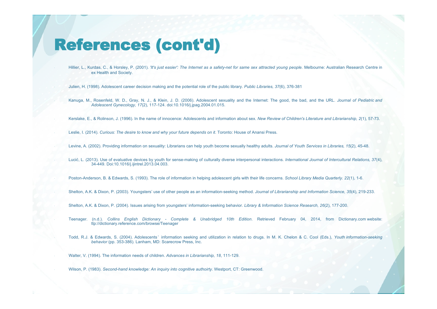### References (cont'd)

 Hillier, L., Kurdas, C., & Horsley, P. (2001). *'It's just easier': The Internet as a safety-net for same sex attracted young people.* Melbourne: Australian Research Centre in ex Health and Society.

Julien, H. (1998). Adolescent career decision making and the potential role of the public library. *Public Libraries, 37*(6), 376-381

 Kanuga, M., Rosenfeld, W. D., Gray, N. J., & Klein, J. D. (2006). Adolescent sexuality and the Internet: The good, the bad, and the URL. *Journal of Pediatric and Adolescent Gynecology, 17*(2), 117-124. doi:10.1016/j.jpag.2004.01.015.

Kerslake, E., & Rolinson, J. (1996). In the name of innocence: Adolescents and information about sex. *New Review of Children's Literature and Librarianship, 2*(1), 57-73.

Leslie, I. (2014). *Curious: The desire to know and why your future depends on it*. Toronto: House of Anansi Press.

Levine, A. (2002). Providing information on sexuality: Librarians can help youth become sexually healthy adults. *Journal of Youth Services in Libraries, 15*(2), 45-48.

 Lucić, L. (2013). Use of evaluative devices by youth for sense-making of culturally diverse interpersonal interactions. *International Journal of Intercultural Relations, 37*(4), 34-449. Doi:10.1016/j.ijintrel.2013.04.003.

Poston-Anderson, B. & Edwards, S. (1993). The role of information in helping adolescent girls with their life concerns. *School Library Media Quarterly. 22*(1), 1-6.

Shelton, A.K. & Dixon, P. (2003). Youngsters' use of other people as an information-seeking method. *Journal of Librarianship and Information Science, 35*(4), 219-233.

Shelton, A.K. & Dixon, P. (2004). Issues arising from youngsters' information-seeking behavior. *Library & Information Science Research, 26*(2), 177-200.

 Teenager. (n.d.). *Collins English Dictionary - Complete & Unabridged 10th Edition*. Retrieved February 04, 2014, from Dictionary.com website: ttp://dictionary.reference.com/browse/Teenager

 Todd, R.J. & Edwards, S. (2004). Adolescents ' information seeking and utilization in relation to drugs. In M. K. Chelon & C. Cool (Eds.), *Youth information-seeking behavior* (pp. 353-386). Lanham, MD: Scarecrow Press, Inc.

Walter, V. (1994). The information needs of children. *Advances in Librarianship, 18*, 111-129.

Wilson, P. (1983). *Second-hand knowledge: An inquiry into cognitive authoirty.* Westport, CT: Greenwood.